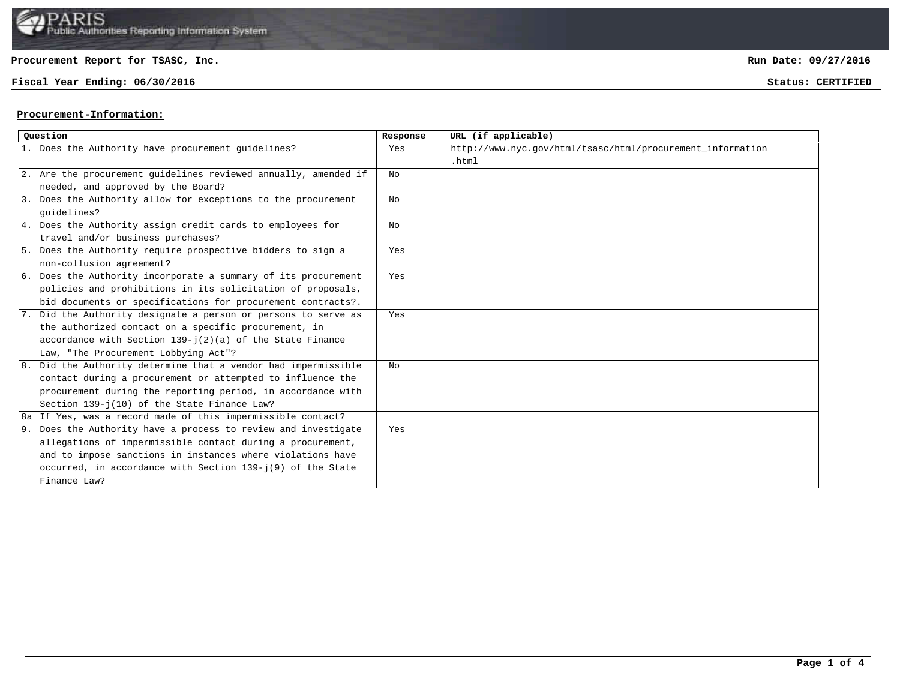

**Fiscal Year Ending: 06/30/2016 Status: CERTIFIED**

**Run Date: 09/27/2016**

#### **Procurement-Information:**

| Ouestion                                                        | Response | URL (if applicable)                                        |
|-----------------------------------------------------------------|----------|------------------------------------------------------------|
| 1. Does the Authority have procurement quidelines?              | Yes      | http://www.nyc.gov/html/tsasc/html/procurement_information |
|                                                                 |          | .html                                                      |
| 2. Are the procurement guidelines reviewed annually, amended if | No       |                                                            |
| needed, and approved by the Board?                              |          |                                                            |
| 3. Does the Authority allow for exceptions to the procurement   | No       |                                                            |
| quidelines?                                                     |          |                                                            |
| 4. Does the Authority assign credit cards to employees for      | NΩ       |                                                            |
| travel and/or business purchases?                               |          |                                                            |
| 5. Does the Authority require prospective bidders to sign a     | Yes      |                                                            |
| non-collusion agreement?                                        |          |                                                            |
| 6. Does the Authority incorporate a summary of its procurement  | Yes      |                                                            |
| policies and prohibitions in its solicitation of proposals,     |          |                                                            |
| bid documents or specifications for procurement contracts?.     |          |                                                            |
| 7. Did the Authority designate a person or persons to serve as  | Yes      |                                                            |
| the authorized contact on a specific procurement, in            |          |                                                            |
| accordance with Section $139 - j(2)(a)$ of the State Finance    |          |                                                            |
| Law, "The Procurement Lobbying Act"?                            |          |                                                            |
| 8. Did the Authority determine that a vendor had impermissible  | No       |                                                            |
| contact during a procurement or attempted to influence the      |          |                                                            |
| procurement during the reporting period, in accordance with     |          |                                                            |
| Section 139-j(10) of the State Finance Law?                     |          |                                                            |
| 8a If Yes, was a record made of this impermissible contact?     |          |                                                            |
| 9. Does the Authority have a process to review and investigate  | Yes      |                                                            |
| allegations of impermissible contact during a procurement,      |          |                                                            |
| and to impose sanctions in instances where violations have      |          |                                                            |
| occurred, in accordance with Section $139 - j(9)$ of the State  |          |                                                            |
| Finance Law?                                                    |          |                                                            |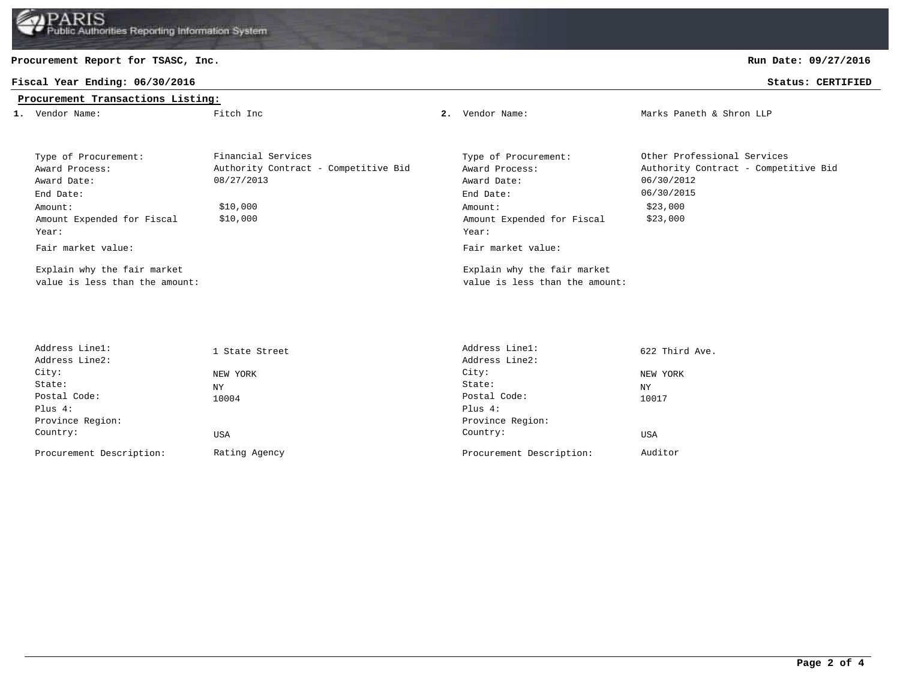### **Fiscal Year Ending: 06/30/2016 Status: CERTIFIED**

# **Procurement Transactions Listing:**

**Run Date: 09/27/2016**

| 1. Vendor Name:                                               | Fitch Inc                                                  | 2. | Vendor Name:                                                  | Marks Paneth & Shron LLP                                            |
|---------------------------------------------------------------|------------------------------------------------------------|----|---------------------------------------------------------------|---------------------------------------------------------------------|
| Type of Procurement:<br>Award Process:                        | Financial Services<br>Authority Contract - Competitive Bid |    | Type of Procurement:<br>Award Process:                        | Other Professional Services<br>Authority Contract - Competitive Bid |
| Award Date:                                                   | 08/27/2013                                                 |    | Award Date:                                                   | 06/30/2012                                                          |
| End Date:                                                     |                                                            |    | End Date:                                                     | 06/30/2015                                                          |
| Amount:<br>Amount Expended for Fiscal<br>Year:                | \$10,000<br>\$10,000                                       |    | Amount:<br>Amount Expended for Fiscal<br>Year:                | \$23,000<br>\$23,000                                                |
| Fair market value:                                            |                                                            |    | Fair market value:                                            |                                                                     |
| Explain why the fair market<br>value is less than the amount: |                                                            |    | Explain why the fair market<br>value is less than the amount: |                                                                     |

| Address Linel:           | 1 State Street | Address Linel:           | 622 Third Ave. |
|--------------------------|----------------|--------------------------|----------------|
| Address Line2:           |                | Address Line2:           |                |
| City:                    | NEW YORK       | City:                    | NEW YORK       |
| State:                   | ΝY             | State:                   | ΝY             |
| Postal Code:             | 10004          | Postal Code:             | 10017          |
| Plus 4:                  |                | Plus $4:$                |                |
| Province Region:         |                | Province Region:         |                |
| Country:                 | USA            | Country:                 | USA            |
| Procurement Description: | Rating Agency  | Procurement Description: | Auditor        |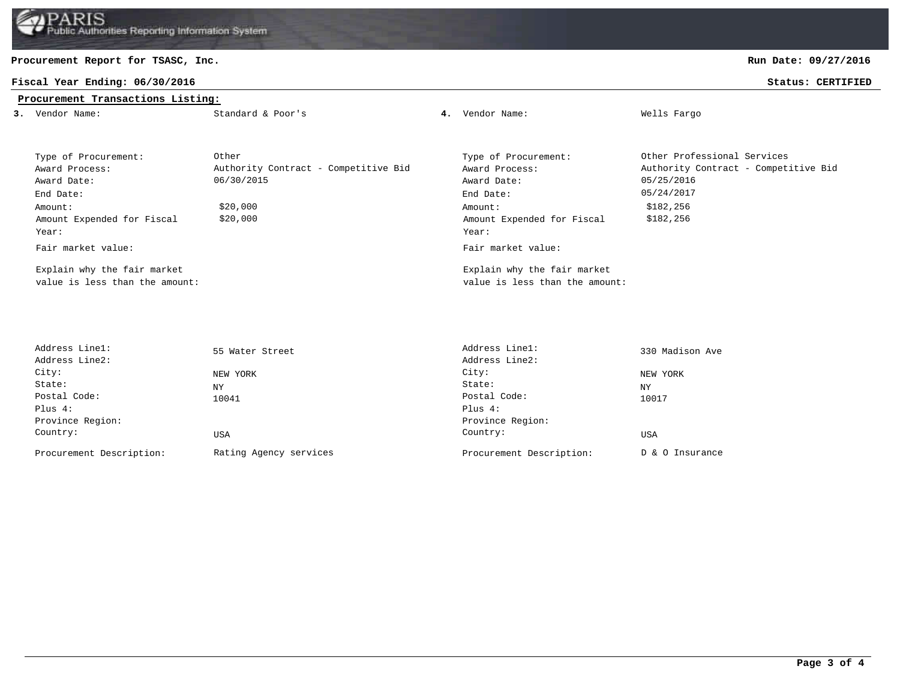

## **Fiscal Year Ending: 06/30/2016 Status: CERTIFIED**

## **Procurement Transactions Listing:**

**Run Date: 09/27/2016**

| 3. Vendor Name:                | Standard & Poor's                    | 4. | Vendor Name:                   | Wells Fargo                          |
|--------------------------------|--------------------------------------|----|--------------------------------|--------------------------------------|
|                                |                                      |    |                                |                                      |
|                                |                                      |    |                                |                                      |
| Type of Procurement:           | Other                                |    | Type of Procurement:           | Other Professional Services          |
| Award Process:                 | Authority Contract - Competitive Bid |    | Award Process:                 | Authority Contract - Competitive Bid |
| Award Date:                    | 06/30/2015                           |    | Award Date:                    | 05/25/2016                           |
| End Date:                      |                                      |    | End Date:                      | 05/24/2017                           |
| Amount:                        | \$20,000                             |    | Amount:                        | \$182,256                            |
| Amount Expended for Fiscal     | \$20,000                             |    | Amount Expended for Fiscal     | \$182,256                            |
| Year:                          |                                      |    | Year:                          |                                      |
| Fair market value:             |                                      |    | Fair market value:             |                                      |
| Explain why the fair market    |                                      |    | Explain why the fair market    |                                      |
| value is less than the amount: |                                      |    | value is less than the amount: |                                      |

| 55 Water Street        | Address Linel:           | 330 Madison Ave |
|------------------------|--------------------------|-----------------|
|                        | Address Line2:           |                 |
| NEW YORK               | City:                    | NEW YORK        |
| ΝY                     | State:                   | <b>NY</b>       |
| 10041                  | Postal Code:             | 10017           |
|                        | Plus $4:$                |                 |
|                        | Province Region:         |                 |
| USA                    | Country:                 | USA             |
| Rating Agency services | Procurement Description: | D & O Insurance |
|                        |                          |                 |